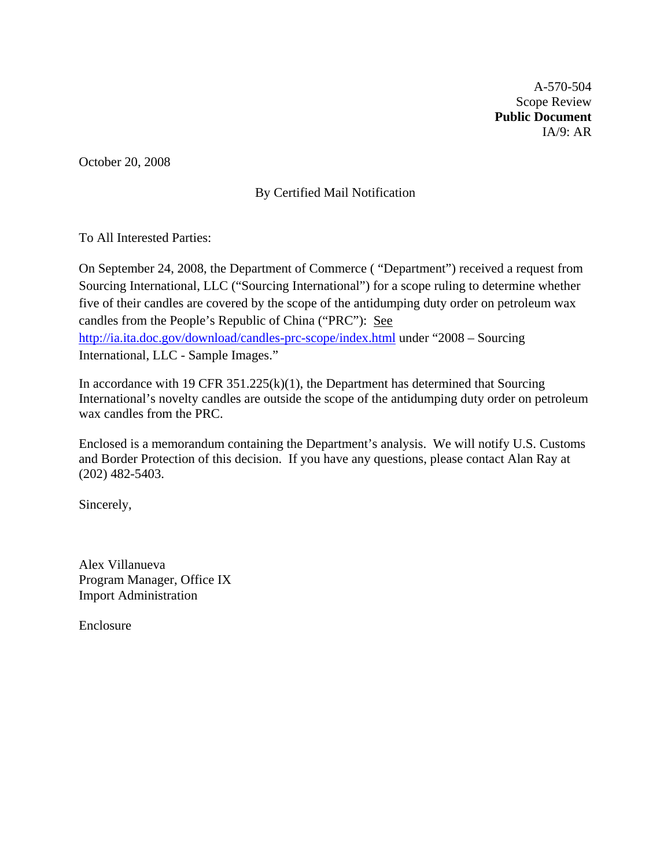A-570-504 Scope Review **Public Document**  IA/9: AR

October 20, 2008

# By Certified Mail Notification

To All Interested Parties:

On September 24, 2008, the Department of Commerce ( "Department") received a request from Sourcing International, LLC ("Sourcing International") for a scope ruling to determine whether five of their candles are covered by the scope of the antidumping duty order on petroleum wax candles from the People's Republic of China ("PRC"): See <http://ia.ita.doc.gov/download/candles-prc-scope/index.html> under "2008 – Sourcing International, LLC - Sample Images."

In accordance with 19 CFR  $351.225(k)(1)$ , the Department has determined that Sourcing International's novelty candles are outside the scope of the antidumping duty order on petroleum wax candles from the PRC.

Enclosed is a memorandum containing the Department's analysis. We will notify U.S. Customs and Border Protection of this decision. If you have any questions, please contact Alan Ray at (202) 482-5403.

Sincerely,

Alex Villanueva Program Manager, Office IX Import Administration

Enclosure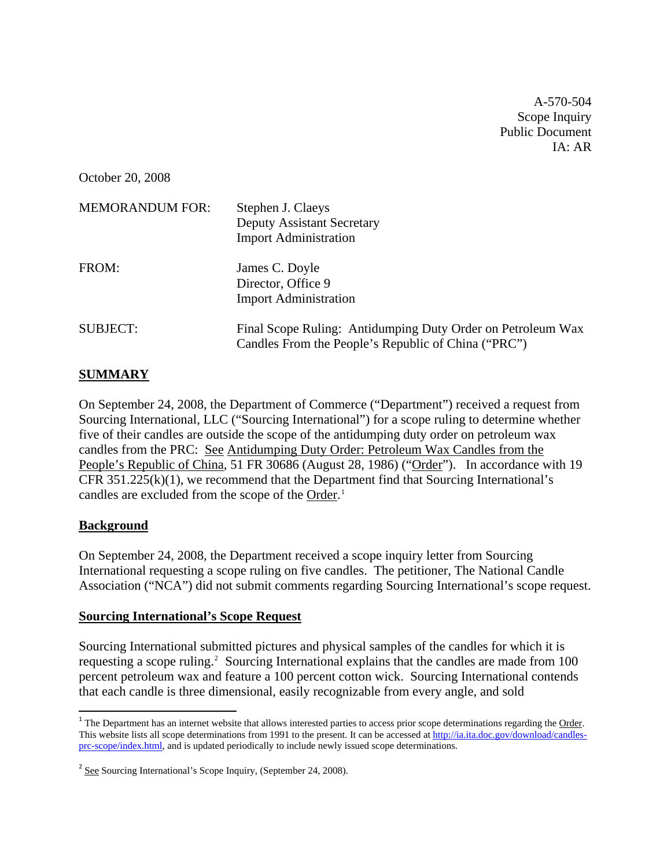A-570-504 Scope Inquiry Public Document  $IA: AR$ 

October 20, 2008

| <b>MEMORANDUM FOR:</b> | Stephen J. Claeys<br><b>Deputy Assistant Secretary</b><br><b>Import Administration</b>                             |
|------------------------|--------------------------------------------------------------------------------------------------------------------|
| FROM:                  | James C. Doyle<br>Director, Office 9<br><b>Import Administration</b>                                               |
| <b>SUBJECT:</b>        | Final Scope Ruling: Antidumping Duty Order on Petroleum Wax<br>Candles From the People's Republic of China ("PRC") |

## **SUMMARY**

On September 24, 2008, the Department of Commerce ("Department") received a request from Sourcing International, LLC ("Sourcing International") for a scope ruling to determine whether five of their candles are outside the scope of the antidumping duty order on petroleum wax candles from the PRC: See Antidumping Duty Order: Petroleum Wax Candles from the People's Republic of China, 51 FR 30686 (August 28, 1986) ("Order"). In accordance with 19 CFR  $351.225(k)(1)$ , we recommend that the Department find that Sourcing International's candles are excluded from the scope of the Order.<sup>[1](#page-1-0)</sup>

### **Background**

On September 24, 2008, the Department received a scope inquiry letter from Sourcing International requesting a scope ruling on five candles. The petitioner, The National Candle Association ("NCA") did not submit comments regarding Sourcing International's scope request.

### **Sourcing International's Scope Request**

Sourcing International submitted pictures and physical samples of the candles for which it is requesting a scope ruling.<sup>[2](#page-1-1)</sup> Sourcing International explains that the candles are made from 100 percent petroleum wax and feature a 100 percent cotton wick. Sourcing International contends that each candle is three dimensional, easily recognizable from every angle, and sold

<span id="page-1-0"></span><sup>&</sup>lt;sup>1</sup> The Department has an internet website that allows interested parties to access prior scope determinations regarding the Order. This website lists all scope determinations from 1991 to the present. It can be accessed at [http://ia.ita.doc.gov/download/candles](http://ia.ita.doc.gov/download/candles-prc-scope/index.html)[prc-scope/index.html](http://ia.ita.doc.gov/download/candles-prc-scope/index.html), and is updated periodically to include newly issued scope determinations.

<span id="page-1-1"></span><sup>2</sup> See Sourcing International's Scope Inquiry, (September 24, 2008).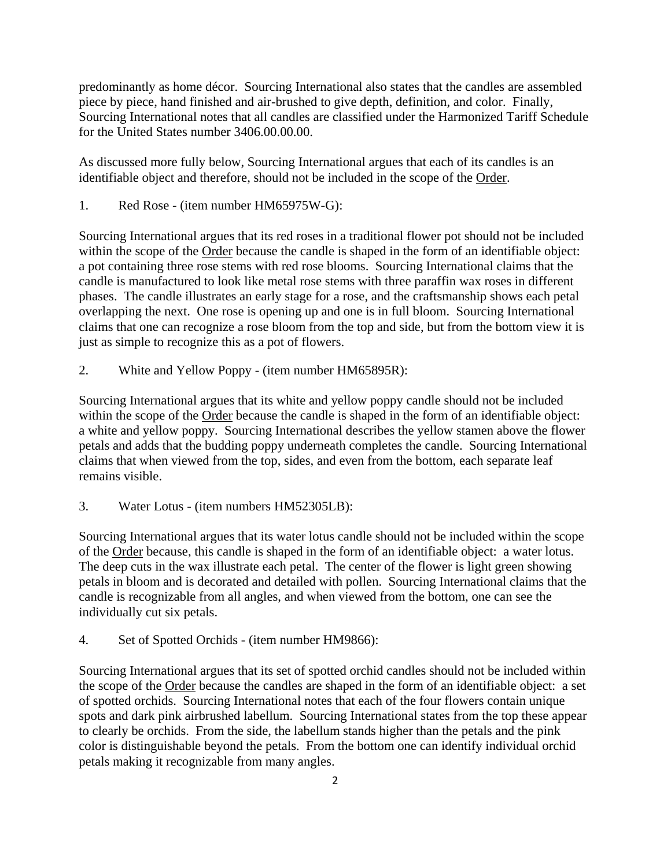predominantly as home décor. Sourcing International also states that the candles are assembled piece by piece, hand finished and air-brushed to give depth, definition, and color. Finally, Sourcing International notes that all candles are classified under the Harmonized Tariff Schedule for the United States number 3406.00.00.00.

As discussed more fully below, Sourcing International argues that each of its candles is an identifiable object and therefore, should not be included in the scope of the Order.

1. Red Rose - (item number HM65975W-G):

Sourcing International argues that its red roses in a traditional flower pot should not be included within the scope of the Order because the candle is shaped in the form of an identifiable object: a pot containing three rose stems with red rose blooms. Sourcing International claims that the candle is manufactured to look like metal rose stems with three paraffin wax roses in different phases. The candle illustrates an early stage for a rose, and the craftsmanship shows each petal overlapping the next. One rose is opening up and one is in full bloom. Sourcing International claims that one can recognize a rose bloom from the top and side, but from the bottom view it is just as simple to recognize this as a pot of flowers.

2. White and Yellow Poppy - (item number HM65895R):

Sourcing International argues that its white and yellow poppy candle should not be included within the scope of the Order because the candle is shaped in the form of an identifiable object: a white and yellow poppy. Sourcing International describes the yellow stamen above the flower petals and adds that the budding poppy underneath completes the candle. Sourcing International claims that when viewed from the top, sides, and even from the bottom, each separate leaf remains visible.

3. Water Lotus - (item numbers HM52305LB):

Sourcing International argues that its water lotus candle should not be included within the scope of the Order because, this candle is shaped in the form of an identifiable object: a water lotus. The deep cuts in the wax illustrate each petal. The center of the flower is light green showing petals in bloom and is decorated and detailed with pollen. Sourcing International claims that the candle is recognizable from all angles, and when viewed from the bottom, one can see the individually cut six petals.

4. Set of Spotted Orchids - (item number HM9866):

Sourcing International argues that its set of spotted orchid candles should not be included within the scope of the Order because the candles are shaped in the form of an identifiable object: a set of spotted orchids. Sourcing International notes that each of the four flowers contain unique spots and dark pink airbrushed labellum. Sourcing International states from the top these appear to clearly be orchids. From the side, the labellum stands higher than the petals and the pink color is distinguishable beyond the petals. From the bottom one can identify individual orchid petals making it recognizable from many angles.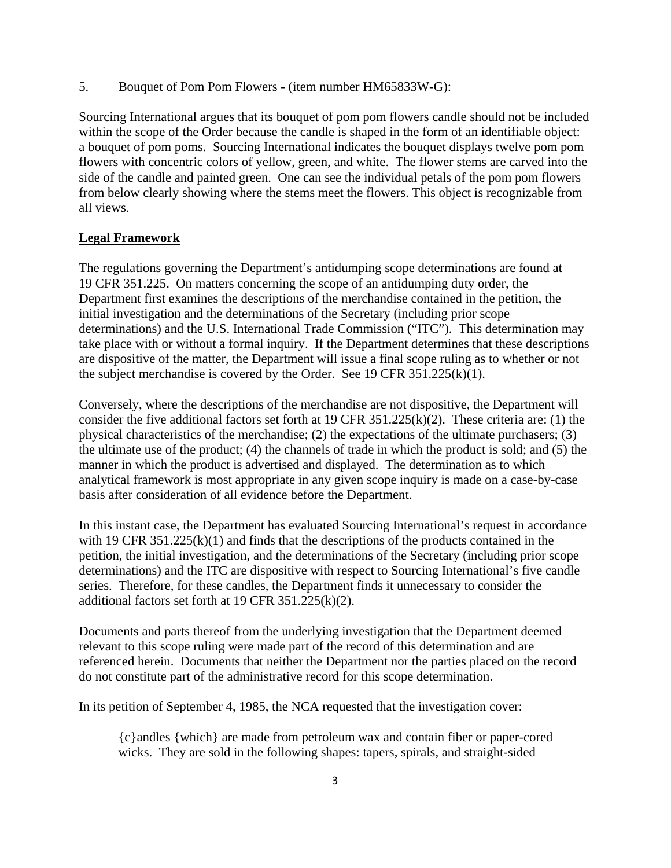5. Bouquet of Pom Pom Flowers - (item number HM65833W-G):

Sourcing International argues that its bouquet of pom pom flowers candle should not be included within the scope of the Order because the candle is shaped in the form of an identifiable object: a bouquet of pom poms. Sourcing International indicates the bouquet displays twelve pom pom flowers with concentric colors of yellow, green, and white. The flower stems are carved into the side of the candle and painted green. One can see the individual petals of the pom pom flowers from below clearly showing where the stems meet the flowers. This object is recognizable from all views.

### **Legal Framework**

The regulations governing the Department's antidumping scope determinations are found at 19 CFR 351.225. On matters concerning the scope of an antidumping duty order, the Department first examines the descriptions of the merchandise contained in the petition, the initial investigation and the determinations of the Secretary (including prior scope determinations) and the U.S. International Trade Commission ("ITC"). This determination may take place with or without a formal inquiry. If the Department determines that these descriptions are dispositive of the matter, the Department will issue a final scope ruling as to whether or not the subject merchandise is covered by the Order. See 19 CFR  $351.225(k)(1)$ .

Conversely, where the descriptions of the merchandise are not dispositive, the Department will consider the five additional factors set forth at 19 CFR 351.225(k)(2). These criteria are: (1) the physical characteristics of the merchandise; (2) the expectations of the ultimate purchasers; (3) the ultimate use of the product; (4) the channels of trade in which the product is sold; and (5) the manner in which the product is advertised and displayed. The determination as to which analytical framework is most appropriate in any given scope inquiry is made on a case-by-case basis after consideration of all evidence before the Department.

In this instant case, the Department has evaluated Sourcing International's request in accordance with 19 CFR 351.225(k)(1) and finds that the descriptions of the products contained in the petition, the initial investigation, and the determinations of the Secretary (including prior scope determinations) and the ITC are dispositive with respect to Sourcing International's five candle series. Therefore, for these candles, the Department finds it unnecessary to consider the additional factors set forth at 19 CFR 351.225(k)(2).

Documents and parts thereof from the underlying investigation that the Department deemed relevant to this scope ruling were made part of the record of this determination and are referenced herein. Documents that neither the Department nor the parties placed on the record do not constitute part of the administrative record for this scope determination.

In its petition of September 4, 1985, the NCA requested that the investigation cover:

{c}andles {which} are made from petroleum wax and contain fiber or paper-cored wicks. They are sold in the following shapes: tapers, spirals, and straight-sided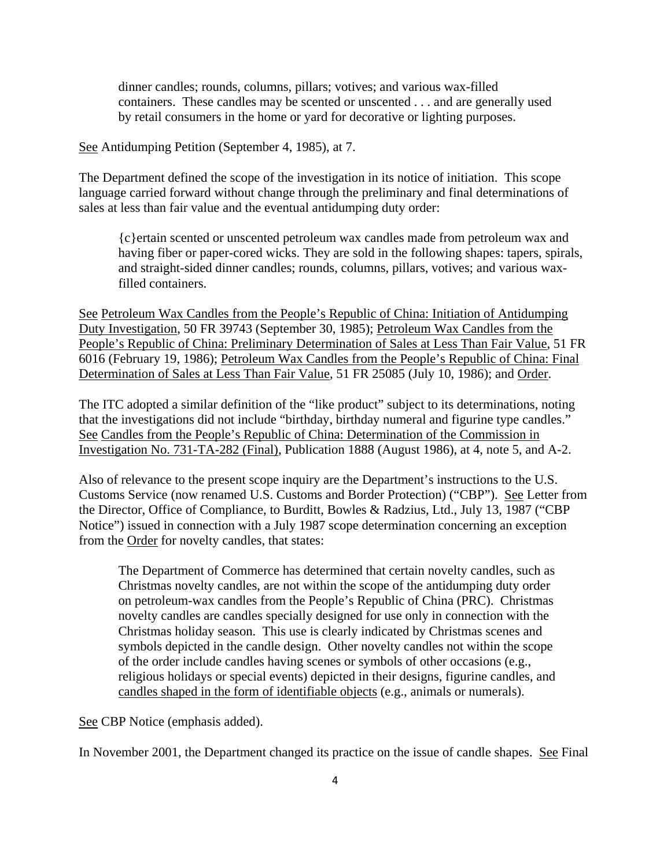dinner candles; rounds, columns, pillars; votives; and various wax-filled containers. These candles may be scented or unscented . . . and are generally used by retail consumers in the home or yard for decorative or lighting purposes.

See Antidumping Petition (September 4, 1985), at 7.

The Department defined the scope of the investigation in its notice of initiation. This scope language carried forward without change through the preliminary and final determinations of sales at less than fair value and the eventual antidumping duty order:

{c}ertain scented or unscented petroleum wax candles made from petroleum wax and having fiber or paper-cored wicks. They are sold in the following shapes: tapers, spirals, and straight-sided dinner candles; rounds, columns, pillars, votives; and various waxfilled containers.

See Petroleum Wax Candles from the People's Republic of China: Initiation of Antidumping Duty Investigation, 50 FR 39743 (September 30, 1985); Petroleum Wax Candles from the People's Republic of China: Preliminary Determination of Sales at Less Than Fair Value, 51 FR 6016 (February 19, 1986); Petroleum Wax Candles from the People's Republic of China: Final Determination of Sales at Less Than Fair Value, 51 FR 25085 (July 10, 1986); and Order.

The ITC adopted a similar definition of the "like product" subject to its determinations, noting that the investigations did not include "birthday, birthday numeral and figurine type candles." See Candles from the People's Republic of China: Determination of the Commission in Investigation No. 731-TA-282 (Final), Publication 1888 (August 1986), at 4, note 5, and A-2.

Also of relevance to the present scope inquiry are the Department's instructions to the U.S. Customs Service (now renamed U.S. Customs and Border Protection) ("CBP"). See Letter from the Director, Office of Compliance, to Burditt, Bowles & Radzius, Ltd., July 13, 1987 ("CBP Notice") issued in connection with a July 1987 scope determination concerning an exception from the Order for novelty candles, that states:

The Department of Commerce has determined that certain novelty candles, such as Christmas novelty candles, are not within the scope of the antidumping duty order on petroleum-wax candles from the People's Republic of China (PRC). Christmas novelty candles are candles specially designed for use only in connection with the Christmas holiday season. This use is clearly indicated by Christmas scenes and symbols depicted in the candle design. Other novelty candles not within the scope of the order include candles having scenes or symbols of other occasions (e.g., religious holidays or special events) depicted in their designs, figurine candles, and candles shaped in the form of identifiable objects (e.g., animals or numerals).

See CBP Notice (emphasis added).

In November 2001, the Department changed its practice on the issue of candle shapes. See Final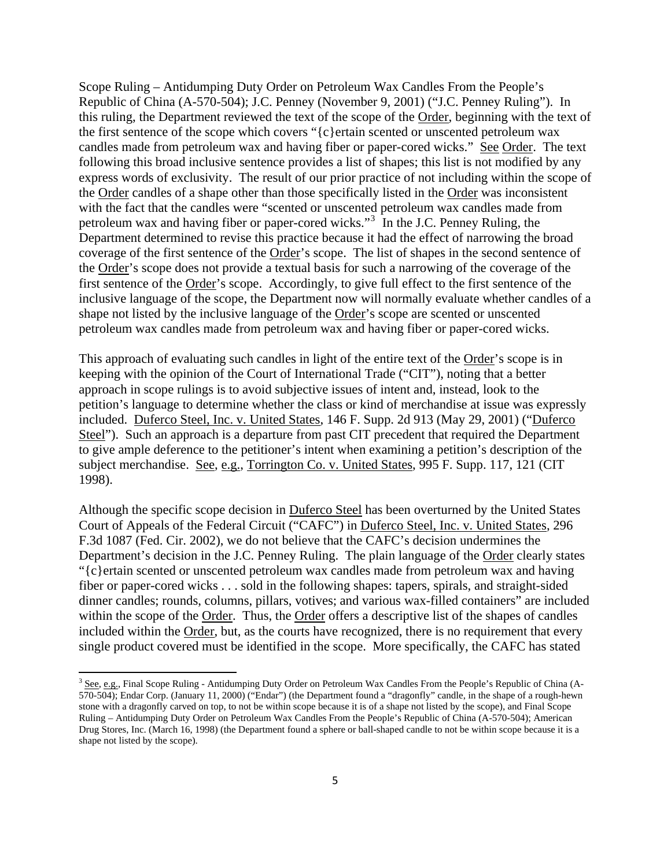Scope Ruling – Antidumping Duty Order on Petroleum Wax Candles From the People's Republic of China (A-570-504); J.C. Penney (November 9, 2001) ("J.C. Penney Ruling"). In this ruling, the Department reviewed the text of the scope of the Order, beginning with the text of the first sentence of the scope which covers "{c}ertain scented or unscented petroleum wax candles made from petroleum wax and having fiber or paper-cored wicks." See Order. The text following this broad inclusive sentence provides a list of shapes; this list is not modified by any express words of exclusivity. The result of our prior practice of not including within the scope of the Order candles of a shape other than those specifically listed in the Order was inconsistent with the fact that the candles were "scented or unscented petroleum wax candles made from petroleum wax and having fiber or paper-cored wicks."<sup>[3](#page-5-0)</sup> In the J.C. Penney Ruling, the Department determined to revise this practice because it had the effect of narrowing the broad coverage of the first sentence of the Order's scope. The list of shapes in the second sentence of the Order's scope does not provide a textual basis for such a narrowing of the coverage of the first sentence of the Order's scope. Accordingly, to give full effect to the first sentence of the inclusive language of the scope, the Department now will normally evaluate whether candles of a shape not listed by the inclusive language of the Order's scope are scented or unscented petroleum wax candles made from petroleum wax and having fiber or paper-cored wicks.

This approach of evaluating such candles in light of the entire text of the Order's scope is in keeping with the opinion of the Court of International Trade ("CIT"), noting that a better approach in scope rulings is to avoid subjective issues of intent and, instead, look to the petition's language to determine whether the class or kind of merchandise at issue was expressly included. Duferco Steel, Inc. v. United States, 146 F. Supp. 2d 913 (May 29, 2001) ("Duferco Steel"). Such an approach is a departure from past CIT precedent that required the Department to give ample deference to the petitioner's intent when examining a petition's description of the subject merchandise. See, e.g., Torrington Co. v. United States, 995 F. Supp. 117, 121 (CIT 1998).

Although the specific scope decision in Duferco Steel has been overturned by the United States Court of Appeals of the Federal Circuit ("CAFC") in Duferco Steel, Inc. v. United States, 296 F.3d 1087 (Fed. Cir. 2002), we do not believe that the CAFC's decision undermines the Department's decision in the J.C. Penney Ruling. The plain language of the Order clearly states "{c}ertain scented or unscented petroleum wax candles made from petroleum wax and having fiber or paper-cored wicks . . . sold in the following shapes: tapers, spirals, and straight-sided dinner candles; rounds, columns, pillars, votives; and various wax-filled containers" are included within the scope of the Order. Thus, the Order offers a descriptive list of the shapes of candles included within the Order, but, as the courts have recognized, there is no requirement that every single product covered must be identified in the scope. More specifically, the CAFC has stated

<span id="page-5-0"></span><sup>3</sup> See, e.g., Final Scope Ruling - Antidumping Duty Order on Petroleum Wax Candles From the People's Republic of China (A-570-504); Endar Corp. (January 11, 2000) ("Endar") (the Department found a "dragonfly" candle, in the shape of a rough-hewn stone with a dragonfly carved on top, to not be within scope because it is of a shape not listed by the scope), and Final Scope Ruling – Antidumping Duty Order on Petroleum Wax Candles From the People's Republic of China (A-570-504); American Drug Stores, Inc. (March 16, 1998) (the Department found a sphere or ball-shaped candle to not be within scope because it is a shape not listed by the scope).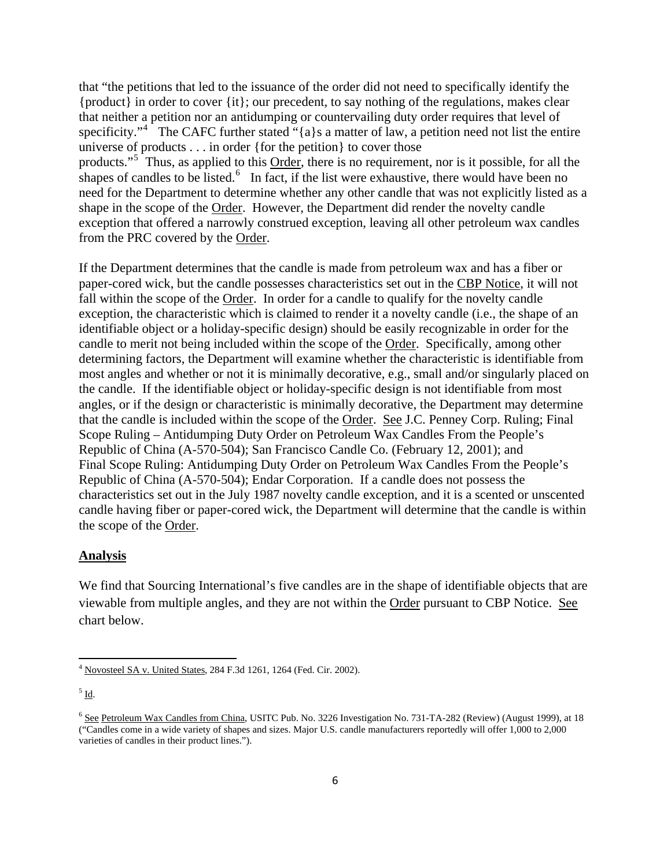that "the petitions that led to the issuance of the order did not need to specifically identify the {product} in order to cover {it}; our precedent, to say nothing of the regulations, makes clear that neither a petition nor an antidumping or countervailing duty order requires that level of specificity."<sup>[4](#page-6-0)</sup> The CAFC further stated "{a}s a matter of law, a petition need not list the entire universe of products . . . in order {for the petition} to cover those products."<sup>[5](#page-6-1)</sup> Thus, as applied to this Order, there is no requirement, nor is it possible, for all the shapes of candles to be listed.<sup>[6](#page-6-2)</sup> In fact, if the list were exhaustive, there would have been no need for the Department to determine whether any other candle that was not explicitly listed as a shape in the scope of the Order. However, the Department did render the novelty candle exception that offered a narrowly construed exception, leaving all other petroleum wax candles from the PRC covered by the Order.

If the Department determines that the candle is made from petroleum wax and has a fiber or paper-cored wick, but the candle possesses characteristics set out in the CBP Notice, it will not fall within the scope of the Order. In order for a candle to qualify for the novelty candle exception, the characteristic which is claimed to render it a novelty candle (i.e., the shape of an identifiable object or a holiday-specific design) should be easily recognizable in order for the candle to merit not being included within the scope of the Order. Specifically, among other determining factors, the Department will examine whether the characteristic is identifiable from most angles and whether or not it is minimally decorative, e.g., small and/or singularly placed on the candle. If the identifiable object or holiday-specific design is not identifiable from most angles, or if the design or characteristic is minimally decorative, the Department may determine that the candle is included within the scope of the Order. See J.C. Penney Corp. Ruling; Final Scope Ruling – Antidumping Duty Order on Petroleum Wax Candles From the People's Republic of China (A-570-504); San Francisco Candle Co. (February 12, 2001); and Final Scope Ruling: Antidumping Duty Order on Petroleum Wax Candles From the People's Republic of China (A-570-504); Endar Corporation. If a candle does not possess the characteristics set out in the July 1987 novelty candle exception, and it is a scented or unscented candle having fiber or paper-cored wick, the Department will determine that the candle is within the scope of the Order.

#### **Analysis**

We find that Sourcing International's five candles are in the shape of identifiable objects that are viewable from multiple angles, and they are not within the Order pursuant to CBP Notice. See chart below.

<span id="page-6-0"></span><sup>4</sup> Novosteel SA v. United States, 284 F.3d 1261, 1264 (Fed. Cir. 2002).

<span id="page-6-1"></span> $<sup>5</sup>$  Id.</sup>

<span id="page-6-2"></span><sup>&</sup>lt;sup>6</sup> See Petroleum Wax Candles from China, USITC Pub. No. 3226 Investigation No. 731-TA-282 (Review) (August 1999), at 18 ("Candles come in a wide variety of shapes and sizes. Major U.S. candle manufacturers reportedly will offer 1,000 to 2,000 varieties of candles in their product lines.").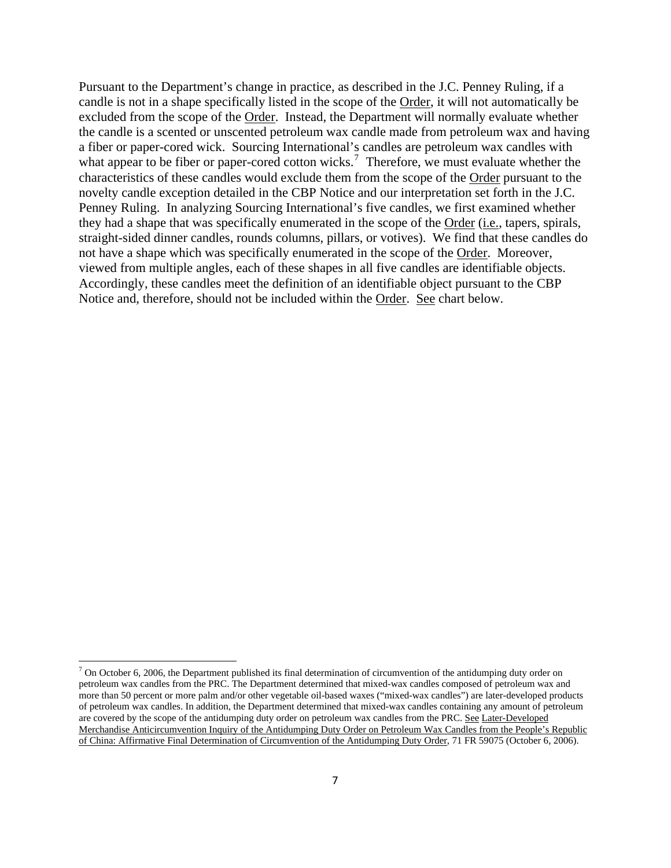Pursuant to the Department's change in practice, as described in the J.C. Penney Ruling, if a candle is not in a shape specifically listed in the scope of the Order, it will not automatically be excluded from the scope of the Order. Instead, the Department will normally evaluate whether the candle is a scented or unscented petroleum wax candle made from petroleum wax and having a fiber or paper-cored wick. Sourcing International's candles are petroleum wax candles with what appear to be fiber or paper-cored cotton wicks.<sup>[7](#page-7-0)</sup> Therefore, we must evaluate whether the characteristics of these candles would exclude them from the scope of the Order pursuant to the novelty candle exception detailed in the CBP Notice and our interpretation set forth in the J.C. Penney Ruling. In analyzing Sourcing International's five candles, we first examined whether they had a shape that was specifically enumerated in the scope of the Order (i.e., tapers, spirals, straight-sided dinner candles, rounds columns, pillars, or votives). We find that these candles do not have a shape which was specifically enumerated in the scope of the Order. Moreover, viewed from multiple angles, each of these shapes in all five candles are identifiable objects. Accordingly, these candles meet the definition of an identifiable object pursuant to the CBP Notice and, therefore, should not be included within the Order. See chart below.

<span id="page-7-0"></span> $<sup>7</sup>$  On October 6, 2006, the Department published its final determination of circumvention of the antidumping duty order on</sup> petroleum wax candles from the PRC. The Department determined that mixed-wax candles composed of petroleum wax and more than 50 percent or more palm and/or other vegetable oil-based waxes ("mixed-wax candles") are later-developed products of petroleum wax candles. In addition, the Department determined that mixed-wax candles containing any amount of petroleum are covered by the scope of the antidumping duty order on petroleum wax candles from the PRC. See Later-Developed Merchandise Anticircumvention Inquiry of the Antidumping Duty Order on Petroleum Wax Candles from the People's Republic of China: Affirmative Final Determination of Circumvention of the Antidumping Duty Order, 71 FR 59075 (October 6, 2006).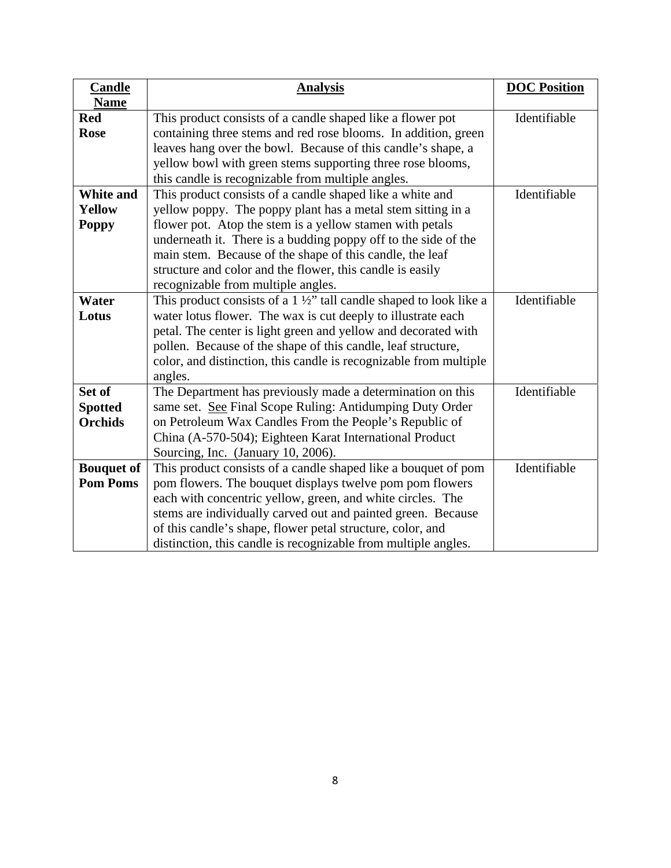| <b>Candle</b>     | <b>Analysis</b>                                                             | <b>DOC</b> Position |
|-------------------|-----------------------------------------------------------------------------|---------------------|
| <b>Name</b>       |                                                                             |                     |
| <b>Red</b>        | This product consists of a candle shaped like a flower pot                  | Identifiable        |
| <b>Rose</b>       | containing three stems and red rose blooms. In addition, green              |                     |
|                   | leaves hang over the bowl. Because of this candle's shape, a                |                     |
|                   | yellow bowl with green stems supporting three rose blooms,                  |                     |
|                   | this candle is recognizable from multiple angles.                           |                     |
| White and         | This product consists of a candle shaped like a white and                   | Identifiable        |
| <b>Yellow</b>     | yellow poppy. The poppy plant has a metal stem sitting in a                 |                     |
| <b>Poppy</b>      | flower pot. Atop the stem is a yellow stamen with petals                    |                     |
|                   | underneath it. There is a budding poppy off to the side of the              |                     |
|                   | main stem. Because of the shape of this candle, the leaf                    |                     |
|                   | structure and color and the flower, this candle is easily                   |                     |
|                   | recognizable from multiple angles.                                          |                     |
| Water             | This product consists of a $1\frac{1}{2}$ tall candle shaped to look like a | Identifiable        |
| Lotus             | water lotus flower. The wax is cut deeply to illustrate each                |                     |
|                   | petal. The center is light green and yellow and decorated with              |                     |
|                   | pollen. Because of the shape of this candle, leaf structure,                |                     |
|                   | color, and distinction, this candle is recognizable from multiple           |                     |
|                   | angles.                                                                     |                     |
| Set of            | The Department has previously made a determination on this                  | Identifiable        |
| <b>Spotted</b>    | same set. See Final Scope Ruling: Antidumping Duty Order                    |                     |
| <b>Orchids</b>    | on Petroleum Wax Candles From the People's Republic of                      |                     |
|                   | China (A-570-504); Eighteen Karat International Product                     |                     |
|                   | Sourcing, Inc. (January 10, 2006).                                          |                     |
| <b>Bouquet of</b> | This product consists of a candle shaped like a bouquet of pom              | Identifiable        |
| <b>Pom Poms</b>   | pom flowers. The bouquet displays twelve pom pom flowers                    |                     |
|                   | each with concentric yellow, green, and white circles. The                  |                     |
|                   | stems are individually carved out and painted green. Because                |                     |
|                   | of this candle's shape, flower petal structure, color, and                  |                     |
|                   | distinction, this candle is recognizable from multiple angles.              |                     |